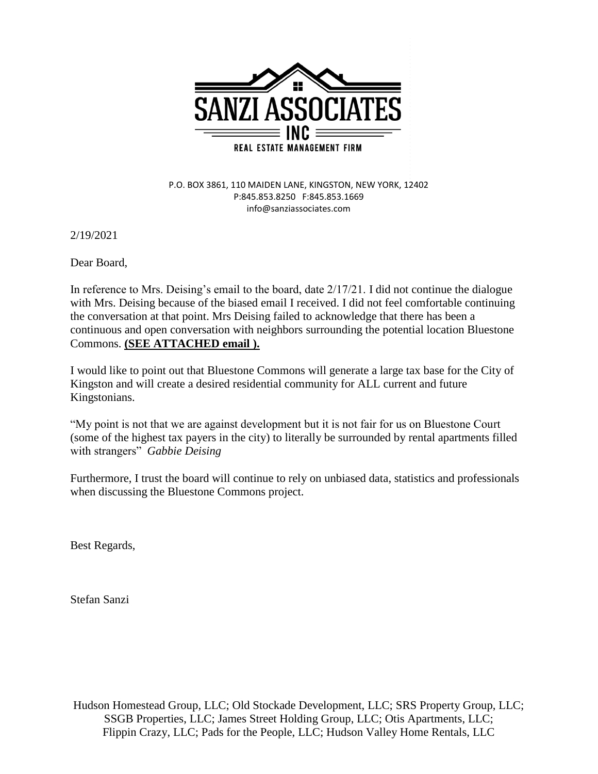

P.O. BOX 3861, 110 MAIDEN LANE, KINGSTON, NEW YORK, 12402 P:845.853.8250 F:845.853.1669 info@sanziassociates.com

2/19/2021

Dear Board,

In reference to Mrs. Deising's email to the board, date 2/17/21. I did not continue the dialogue with Mrs. Deising because of the biased email I received. I did not feel comfortable continuing the conversation at that point. Mrs Deising failed to acknowledge that there has been a continuous and open conversation with neighbors surrounding the potential location Bluestone Commons. **(SEE ATTACHED email ).**

I would like to point out that Bluestone Commons will generate a large tax base for the City of Kingston and will create a desired residential community for ALL current and future Kingstonians.

"My point is not that we are against development but it is not fair for us on Bluestone Court (some of the highest tax payers in the city) to literally be surrounded by rental apartments filled with strangers" *Gabbie Deising*

Furthermore, I trust the board will continue to rely on unbiased data, statistics and professionals when discussing the Bluestone Commons project.

Best Regards,

Stefan Sanzi

Hudson Homestead Group, LLC; Old Stockade Development, LLC; SRS Property Group, LLC; SSGB Properties, LLC; James Street Holding Group, LLC; Otis Apartments, LLC; Flippin Crazy, LLC; Pads for the People, LLC; Hudson Valley Home Rentals, LLC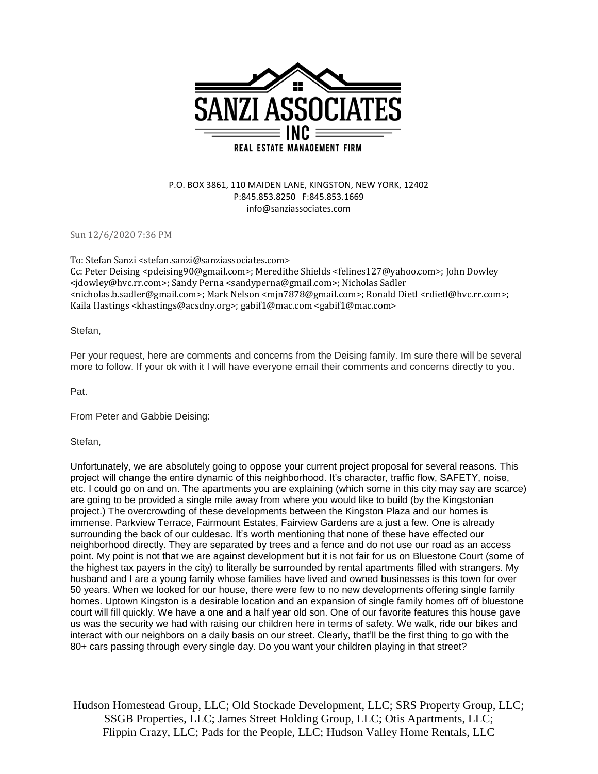

## P.O. BOX 3861, 110 MAIDEN LANE, KINGSTON, NEW YORK, 12402 P:845.853.8250 F:845.853.1669 info@sanziassociates.com

Sun 12/6/2020 7:36 PM

To: Stefan Sanzi <stefan.sanzi@sanziassociates.com> Cc: Peter Deising <pdeising90@gmail.com>; Meredithe Shields <felines127@yahoo.com>; John Dowley <jdowley@hvc.rr.com>; Sandy Perna <sandyperna@gmail.com>; Nicholas Sadler <nicholas.b.sadler@gmail.com>; Mark Nelson <mjn7878@gmail.com>; Ronald Dietl <rdietl@hvc.rr.com>; Kaila Hastings <khastings@acsdny.org>; gabif1@mac.com <gabif1@mac.com>

## Stefan,

Per your request, here are comments and concerns from the Deising family. Im sure there will be several more to follow. If your ok with it I will have everyone email their comments and concerns directly to you.

Pat.

From Peter and Gabbie Deising:

Stefan,

Unfortunately, we are absolutely going to oppose your current project proposal for several reasons. This project will change the entire dynamic of this neighborhood. It's character, traffic flow, SAFETY, noise, etc. I could go on and on. The apartments you are explaining (which some in this city may say are scarce) are going to be provided a single mile away from where you would like to build (by the Kingstonian project.) The overcrowding of these developments between the Kingston Plaza and our homes is immense. Parkview Terrace, Fairmount Estates, Fairview Gardens are a just a few. One is already surrounding the back of our culdesac. It's worth mentioning that none of these have effected our neighborhood directly. They are separated by trees and a fence and do not use our road as an access point. My point is not that we are against development but it is not fair for us on Bluestone Court (some of the highest tax payers in the city) to literally be surrounded by rental apartments filled with strangers. My husband and I are a young family whose families have lived and owned businesses is this town for over 50 years. When we looked for our house, there were few to no new developments offering single family homes. Uptown Kingston is a desirable location and an expansion of single family homes off of bluestone court will fill quickly. We have a one and a half year old son. One of our favorite features this house gave us was the security we had with raising our children here in terms of safety. We walk, ride our bikes and interact with our neighbors on a daily basis on our street. Clearly, that'll be the first thing to go with the 80+ cars passing through every single day. Do you want your children playing in that street?

Hudson Homestead Group, LLC; Old Stockade Development, LLC; SRS Property Group, LLC; SSGB Properties, LLC; James Street Holding Group, LLC; Otis Apartments, LLC; Flippin Crazy, LLC; Pads for the People, LLC; Hudson Valley Home Rentals, LLC